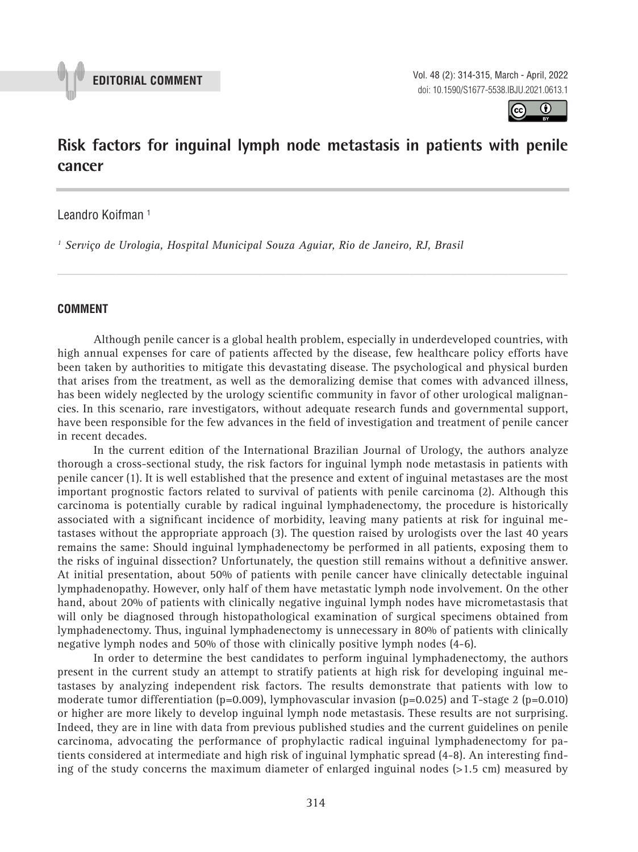

**EDITORIAL COMMENT** Vol. 48 (2): 314-315, March - April, 2022 doi: 10.1590/S1677-5538.IBJU.2021.0613.1



# **Risk factors for inguinal lymph node metastasis in patients with penile cancer \_\_\_\_\_\_\_\_\_\_\_\_\_\_\_\_\_\_\_\_\_\_\_\_\_\_\_\_\_\_\_\_\_\_\_\_\_\_\_\_\_\_\_\_\_\_\_**

*\_\_\_\_\_\_\_\_\_\_\_\_\_\_\_\_\_\_\_\_\_\_\_\_\_\_\_\_\_\_\_\_\_\_\_\_\_\_\_\_\_\_\_\_\_\_\_\_\_\_\_\_\_\_\_\_\_\_\_\_\_\_\_\_\_\_\_\_\_\_\_\_\_\_\_\_\_\_\_\_\_\_\_\_\_\_\_*

### Leandro Koifman<sup>1</sup>

*1 Serviço de Urologia, Hospital Municipal Souza Aguiar, Rio de Janeiro, RJ, Brasil*

#### **COMMENT**

Although penile cancer is a global health problem, especially in underdeveloped countries, with high annual expenses for care of patients affected by the disease, few healthcare policy efforts have been taken by authorities to mitigate this devastating disease. The psychological and physical burden that arises from the treatment, as well as the demoralizing demise that comes with advanced illness, has been widely neglected by the urology scientific community in favor of other urological malignancies. In this scenario, rare investigators, without adequate research funds and governmental support, have been responsible for the few advances in the field of investigation and treatment of penile cancer in recent decades.

In the current edition of the International Brazilian Journal of Urology, the authors analyze thorough a cross-sectional study, the risk factors for inguinal lymph node metastasis in patients with penile cancer (1). It is well established that the presence and extent of inguinal metastases are the most important prognostic factors related to survival of patients with penile carcinoma (2). Although this carcinoma is potentially curable by radical inguinal lymphadenectomy, the procedure is historically associated with a significant incidence of morbidity, leaving many patients at risk for inguinal metastases without the appropriate approach (3). The question raised by urologists over the last 40 years remains the same: Should inguinal lymphadenectomy be performed in all patients, exposing them to the risks of inguinal dissection? Unfortunately, the question still remains without a definitive answer. At initial presentation, about 50% of patients with penile cancer have clinically detectable inguinal lymphadenopathy. However, only half of them have metastatic lymph node involvement. On the other hand, about 20% of patients with clinically negative inguinal lymph nodes have micrometastasis that will only be diagnosed through histopathological examination of surgical specimens obtained from lymphadenectomy. Thus, inguinal lymphadenectomy is unnecessary in 80% of patients with clinically negative lymph nodes and 50% of those with clinically positive lymph nodes (4-6).

In order to determine the best candidates to perform inguinal lymphadenectomy, the authors present in the current study an attempt to stratify patients at high risk for developing inguinal metastases by analyzing independent risk factors. The results demonstrate that patients with low to moderate tumor differentiation (p=0.009), lymphovascular invasion (p=0.025) and T-stage 2 (p=0.010) or higher are more likely to develop inguinal lymph node metastasis. These results are not surprising. Indeed, they are in line with data from previous published studies and the current guidelines on penile carcinoma, advocating the performance of prophylactic radical inguinal lymphadenectomy for patients considered at intermediate and high risk of inguinal lymphatic spread (4-8). An interesting finding of the study concerns the maximum diameter of enlarged inguinal nodes (>1.5 cm) measured by